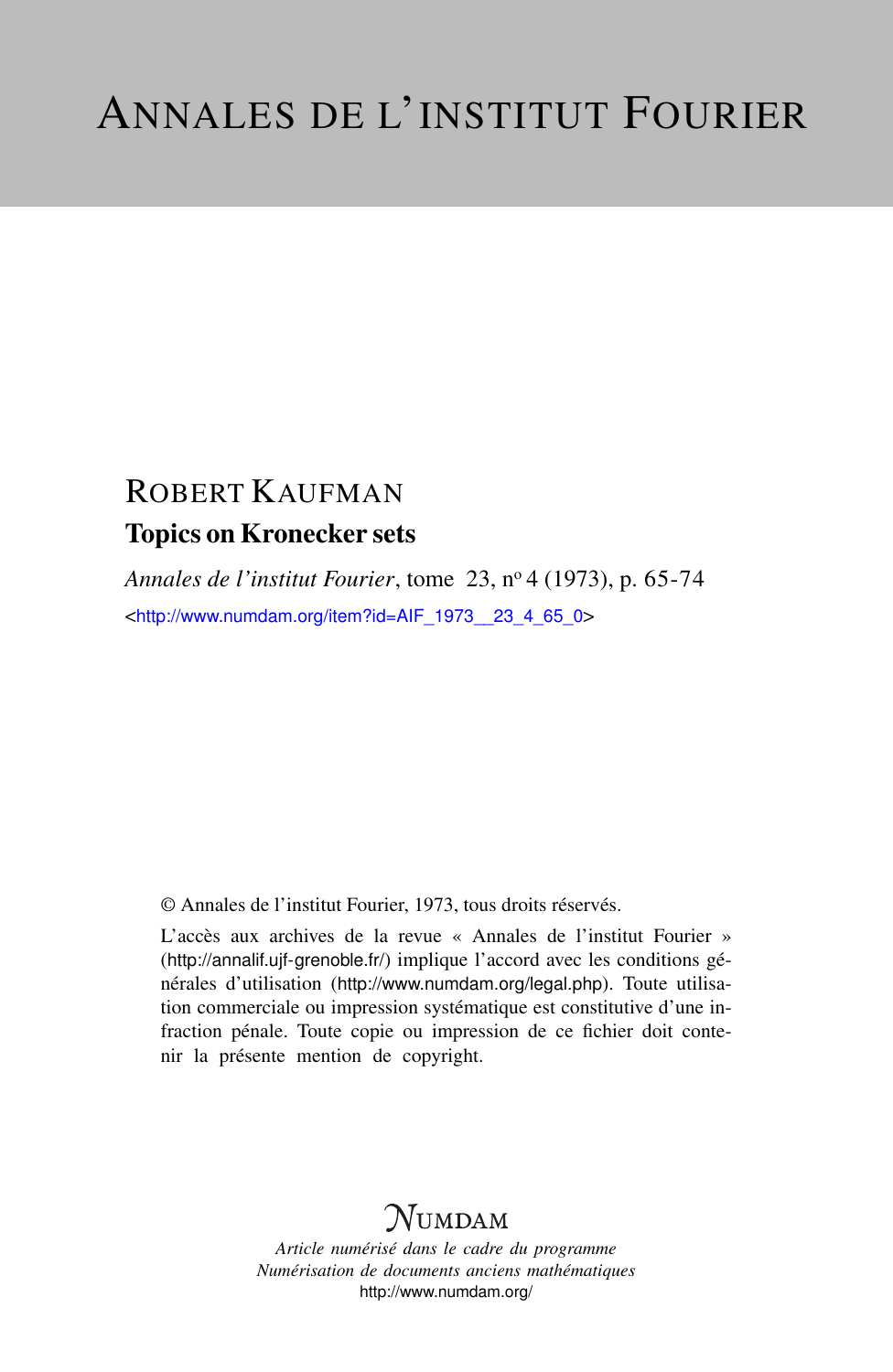# ROBERT KAUFMAN Topics on Kronecker sets

*Annales de l'institut Fourier*, tome 23, n<sup>o</sup> 4 (1973), p. 65-74 <[http://www.numdam.org/item?id=AIF\\_1973\\_\\_23\\_4\\_65\\_0](http://www.numdam.org/item?id=AIF_1973__23_4_65_0)>

© Annales de l'institut Fourier, 1973, tous droits réservés.

L'accès aux archives de la revue « Annales de l'institut Fourier » (<http://annalif.ujf-grenoble.fr/>) implique l'accord avec les conditions générales d'utilisation (<http://www.numdam.org/legal.php>). Toute utilisation commerciale ou impression systématique est constitutive d'une infraction pénale. Toute copie ou impression de ce fichier doit contenir la présente mention de copyright.

# NUMDAM

*Article numérisé dans le cadre du programme Numérisation de documents anciens mathématiques* <http://www.numdam.org/>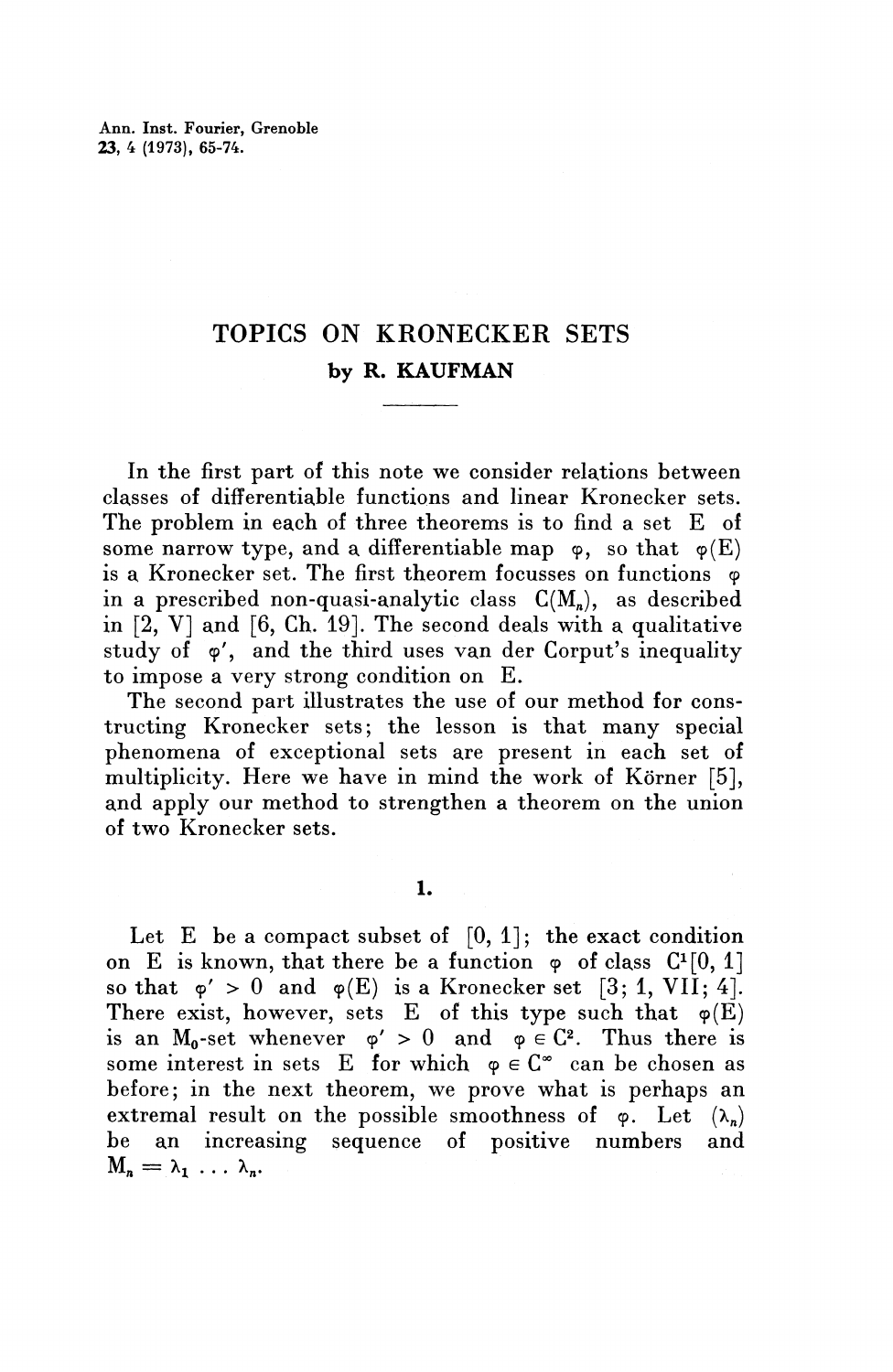Ann. Inst. Fourier, Grenoble **23, 4** (1973), 65-74.

## TOPICS ON KRONECKER SETS by R. KAUFMAN

In the first part of this note we consider relations between classes of differentiable functions and linear Kronecker sets. The problem in each of three theorems is to find a set E of some narrow type, and a differentiable map  $\varphi$ , so that  $\varphi(E)$ is a Kronecker set. The first theorem focusses on functions  $\varphi$ in a prescribed non-quasi-analytic class  $C(M_n)$ , as described in  $[2, V]$  and  $[6, Ch. 19]$ . The second deals with a qualitative study of  $\varphi'$ , and the third uses van der Corput's inequality to impose a very strong condition on E.

The second part illustrates the use of our method for constructing Kronecker sets; the lesson is that many special phenomena of exceptional sets are present in each set of multiplicity. Here we have in mind the work of Körner [5], and apply our method to strengthen a theorem on the union of two Kronecker sets.

**1.**

Let E be a compact subset of  $[0, 1]$ ; the exact condition on E is known, that there be a function  $\varphi$  of class  $C^{1}[0, 1]$ so that  $\varphi' > 0$  and  $\varphi(E)$  is a Kronecker set [3; 1, VII; 4]. There exist, however, sets E of this type such that  $\varphi(E)$ is an M<sub>0</sub>-set whenever  $\varphi' > 0$  and  $\varphi \in C^2$ . Thus there is some interest in sets E for which  $\varphi \in \mathbb{C}^{\infty}$  can be chosen as before; in the next theorem, we prove what is perhaps an extremal result on the possible smoothness of  $\varphi$ . Let  $(\lambda_n)$ be an increasing sequence of positive numbers and  $M_n=\lambda_1 \ldots \lambda_n$ .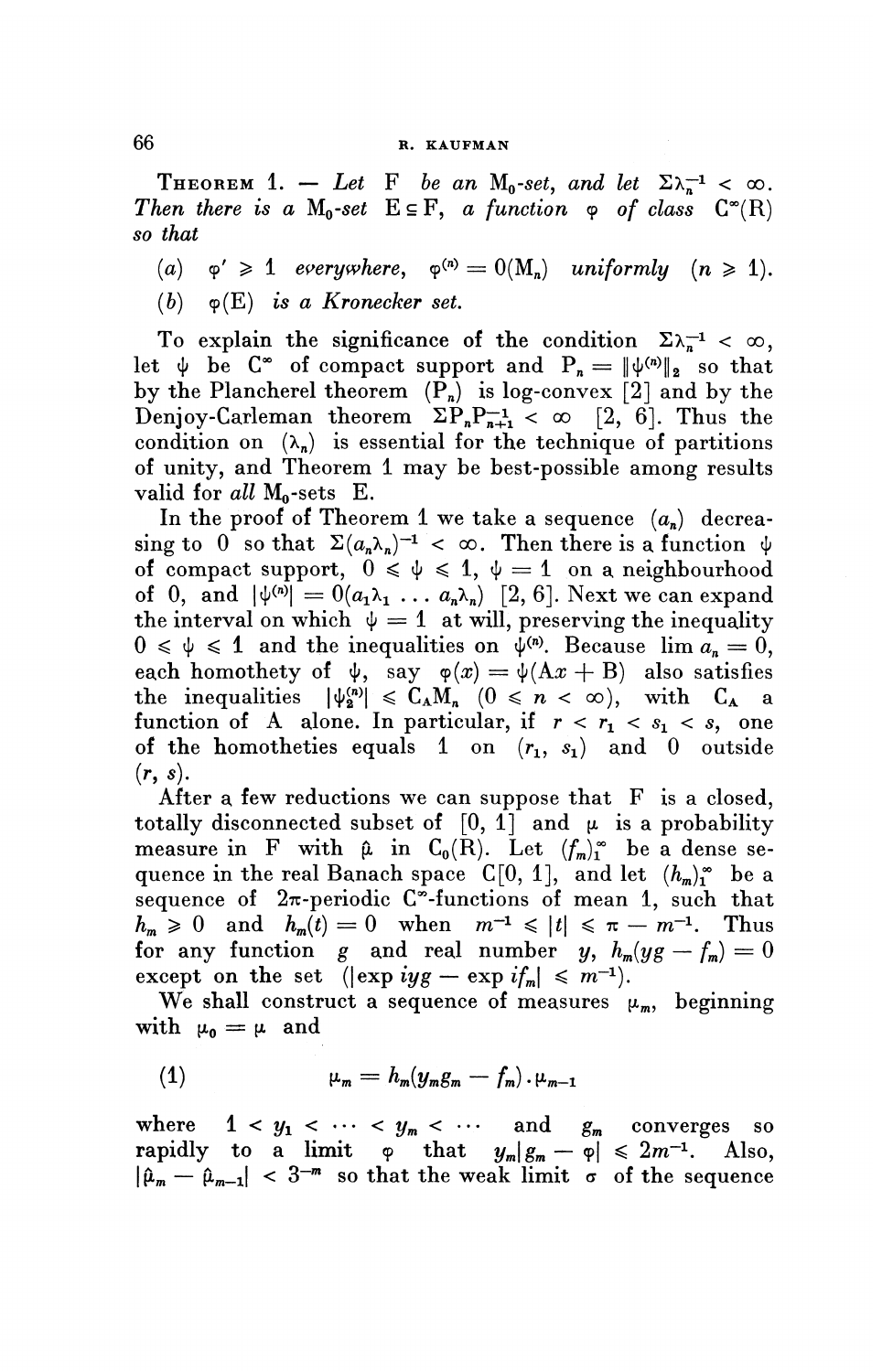### **66 R. KAUFMAN**

THEOREM 1. - Let F be an M<sub>0</sub>-set, and let  $\Sigma \lambda_n^{-1} < \infty$ . *Then there is a*  $M_0$ -set  $E \subseteq F$ , *a function*  $\varphi$  *of class*  $C^*(R)$ *so that*

(a)  $\varphi' \geq 1$  everywhere,  $\varphi^{(n)} = O(M_n)$  uniformly  $(n \geq 1)$ .

(&) y(E) **is a** *Kronecker set.*

To explain the significance of the condition  $\Sigma \lambda_n^{-1} < \infty$ , let  $\psi$  be  $C^{\infty}$  of compact support and  $P_n = \|\psi^{(n)}\|_{2}$  so that by the Plancherel theorem  $(\overline{P}_n)$  is log-convex [2] and by the Denjoy-Carleman theorem  $\Sigma P_n P_{n+1}^{-1} < \infty$  [2, 6]. Thus the condition on  $(\lambda_n)$  is essential for the technique of partitions of unity, and Theorem 1 may be best-possible among results valid for all M<sub>o</sub>-sets E.

In the proof of Theorem 1 we take a sequence  $(a_n)$  decrea- $\sin g$  to  $0$  so that  $\Sigma (a_n \lambda_n)^{-1} < \infty$ . Then there is a function  $\psi$ of compact support,  $0 \leq \psi \leq 1$ ,  $\psi = 1$  on a neighbourhood of 0, and  $|\psi^{(n)}| = 0(a_1\lambda_1 \ldots a_n\lambda_n)$  [2, 6]. Next we can expand the interval on which  $\psi=1$  at will, preserving the inequality  $0 \le \psi \le 1$  and the inequalities on  $\psi^{(n)}$ . Because  $\lim a_n = 0$ , each homothety of  $\psi$ , say  $\varphi(x) = \psi(Ax + B)$  also satisfies the inequalities  $|\psi_n^{\langle n \rangle}| \leq C_A M_n (0 \leq n \leq \infty)$ , with  $C_A$  a function of A alone. In particular, if  $r < r_1 < s_1 < s$ , one of the homotheties equals 1 on  $(r_1, s_1)$  and 0 outside  $(r, s)$ .

After a few reductions we can suppose that  $F$  is a closed, totally disconnected subset of  $[0, 1]$  and  $\mu$  is a probability measure in F with  $\hat{\mu}$  in  $C_0(\bar{R})$ . Let  $(f_m)^{\infty}$  be a dense sequence in the real Banach space  $C[0, 1]$ , and let  $(h_m)_1^{\infty}$  be a sequence of  $2\pi$ -periodic C<sup> $\infty$ </sup>-functions of mean 1, such that  $h_m \geq 0$  and  $h_m(t) = 0$  when  $m^{-1} \leq |t| \leq \pi - m^{-1}$ . Thus for any function g and real number y,  $h_{m}(yg - f_{m}) = 0$ except on the set  $(\exp i yg - \exp i f_{\min}) \leq m^{-1}$ .

We shall construct a sequence of measures  $\mu_m$ , beginning with  $\mu_0 = \mu$  and

(1) 
$$
\mu_m = h_m(y_m g_m - f_m) \cdot \mu_{m-1}
$$

where  $1 < y_1 < \cdots < y_m < \cdots$  and  $g_m$  converges so rapidly to a limit  $\varphi$  that  $y_m|g_m-\varphi| \leq 2m^{-1}$ . *.* Also,  $|\hat{\mu}_m - \hat{\mu}_{m-1}| < 3^{-m}$  so that the weak limit  $\sigma$  of the sequence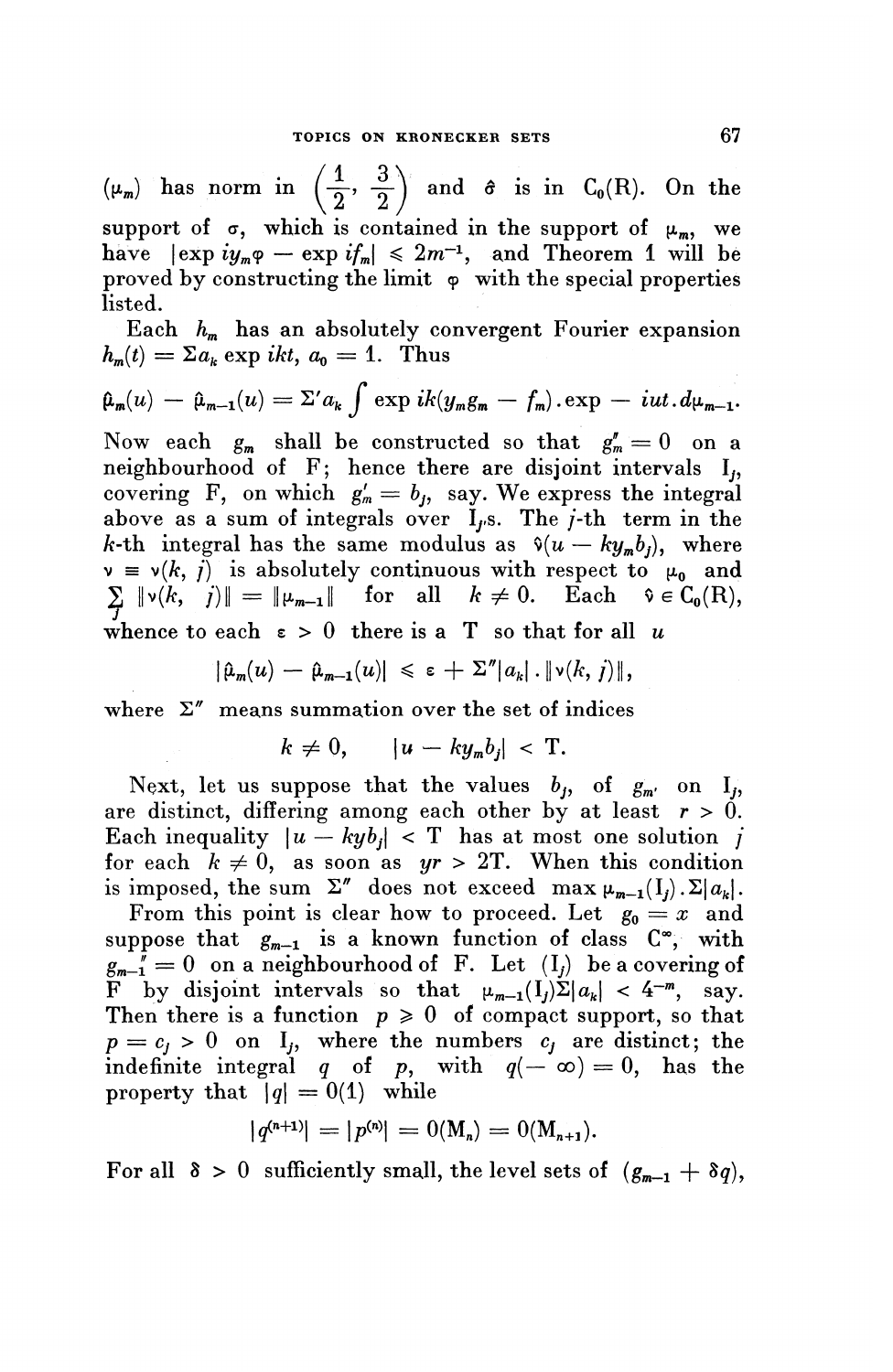$(\mu_m)$  has norm in  $\left(\frac{1}{2}, \frac{3}{2}\right)$  and  $\hat{\sigma}$  is in  $C_0(R)$ . On the  $\frac{1}{2}$ ,  $\frac{3}{2}$ support of  $\sigma$ , which is contained in the support of  $\mu_m$ , we have  $|\exp iy_m \varphi - \exp i f_m| \leq 2m^{-1}$ , and Theorem 1 will be proved by constructing the limit  $\varphi$  with the special properties listed.

Each  $h_m$  has an absolutely convergent Fourier expansion

Each 
$$
h_m
$$
 has an absolutely convergent Fourier expansion  
\n $h_m(t) = \sum a_k \exp ikt$ ,  $a_0 = 1$ . Thus  
\n $\hat{\mu}_m(u) - \hat{\mu}_{m-1}(u) = \sum a_k \int \exp i k (y_m g_m - f_m) . \exp - iut . d\mu_{m-1}$ .

Now each  $g_m$  shall be constructed so that  $g^{\prime\prime}_m = 0$  on a neighbourhood of F; hence there are disjoint intervals I, covering F, on which  $g'_m = b_j$ , say. We express the integral above as a sum of integrals over  $I_f$ s. The  $j$ -th term in the *k*-th integral has the same modulus as  $\hat{v}(u - ky_m b_j)$ , where  $\nu = \nu(k, \tilde{i})$  is absolutely continuous with respect to  $\mu_0$  and  $\sum \psi(k, j)$  is absolutely continuous with respect to  $\mu_0$  and  $\sum \psi(k, j)$  =  $\|\psi_m\|$  for all  $k \neq 0$ . Each  $\hat{v} \in C_0(R)$ , whence to each  $\varepsilon > 0$  there is a T so that for all u<br>  $|\hat{\mu}_m(u) - \hat{\mu}_{m-1}(u)| \leq \varepsilon + \sum^n |a_k| \cdot ||\nu(k, j)||,$ 

$$
|\hat{\mu}_m(u) - \hat{\mu}_{m-1}(u)| \leq \varepsilon + \Sigma'' |a_k| \cdot \|\nu(k, j)\|,
$$

where  $\Sigma''$  means summation over the set of indices

$$
k \neq 0, \qquad |u - k y_m b_j| < T.
$$

Next, let us suppose that the values  $b_j$ , of  $g_{m'}$  on  $I_j$ , are distinct, differing among each other by at least  $r > 0$ . Each inequality  $|u - kyb_i| < T$  has at most one solution *i* for each  $k \neq 0$ , as soon as  $yr > 2T$ . When this condition is imposed, the sum  $\Sigma''$  does not exceed max  $\mu_{m-1}(I_i)$ .  $\Sigma |a_k|$ .

From this point is clear how to proceed. Let  $g_0 = x$  and  $g_0 = x$ suppose that  $g_{m-1}$  is a known function of class  $C^{\infty}$ , with  $g_{m-1}$  = 0 on a neighbourhood of F. Let  $(I_j)$  be a covering of  $F$  by disjoint intervals so that  $\mu_{m-1}(I_i)\Sigma|a_k| < 4^{-m}$ , say Then there is a function  $p \geq 0$  of compact support, so that  $p = c_j > 0$  on I<sub>j</sub>, where the numbers  $c_j$  are distinct; the indefinite integral q of p, with  $q(-\infty)=0$ , has the property that  $|q| = 0(1)$  while

$$
|q^{(n+1)}| = |p^{(n)}| = 0(M_n) = 0(M_{n+1}).
$$

For all  $\delta > 0$  sufficiently small, the level sets of  $(g_{m-1} + \delta q)$ ,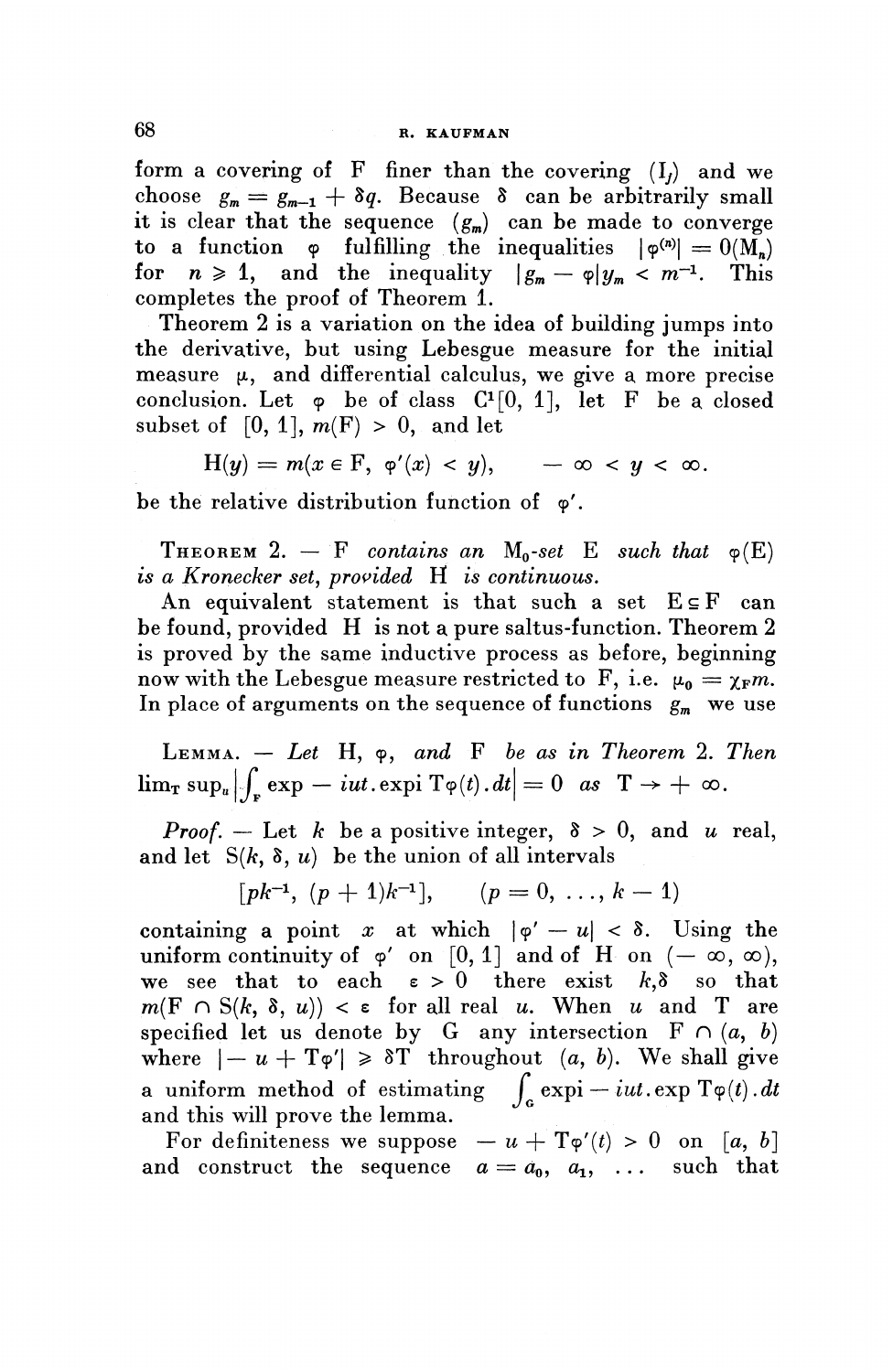form a covering of F finer than the covering  $(I_i)$  and we choose  $g_m = g_{m-1} + \delta q$ . Because  $\delta$  can be arbitrarily small it is clear that the sequence  $(g_m)$  can be made to converge to a function  $\varphi$  fulfilling the inequalities  $|\varphi^{(n)}| = O(\widetilde{M_n})$ for  $n \geq 1$ , and the inequality  $\left| \begin{array}{cc} 1 & -p \\ g_m - p \end{array} \right| y_m < m^{-1}$ . This completes the proof of Theorem 1.

Theorem 2 is a variation on the idea of building jumps into the derivative, but using Lebesgue measure for the initial measure  $\mu$ , and differential calculus, we give a more precise conclusion. Let  $\varphi$  be of class  $C^1[0, 1]$ , let F be a closed subset of  $[0, 1]$ ,  $m(F) > 0$ , and let

$$
H(y) = m(x \in F, \varphi'(x) < y), \qquad -\infty < y < \infty.
$$

be the relative distribution function of  $\varphi'$ .

THEOREM 2.  $-$  F contains an M<sub>0</sub>-set E such that  $\varphi(E)$ *is a Kronecker set, provided* H *is continuous.*

An equivalent statement is that such a set  $E \subseteq F$  can be found, provided H is not a pure saltus-function. Theorem 2 is proved by the same inductive process as before, beginning now with the Lebesgue measure restricted to F, i.e.  $\mu_0 = \chi_F m$ . In place of arguments on the sequence of functions  $g_m$  we use

LEMMA. — *Let* **H,** 9, *and* F *be as in Theorem* 2. *Then*  $\lim_{\tau} \sup_{u} |\int_{\tau} \exp -iut.\exp i \operatorname{Tr} \varphi(t).dt| = 0 \text{ as } T \to + \infty.$ 

*Proof.* – Let *k* be a positive integer,  $\delta > 0$ , and *u* real, and let  $S(k, \delta, u)$  be the union of all intervals

$$
[pk^{-1}, (p + 1)k^{-1}],
$$
  $(p = 0, ..., k - 1)$ 

containing a point x at which  $|\varphi' - u| < \delta$ . Using the uniform continuity of  $\varphi'$  on [0, 1] and of H on  $(-\infty, \infty)$ , we see that to each  $\varepsilon > 0$  there exist  $k, \delta$  so that  $m(F \cap S(k, \delta, u)) < \varepsilon$  for all real u. When u and T are specified let us denote by G any intersection  $F \cap (a, b)$ where  $|- u + T\varphi'|\geq \delta T$  throughout  $(a, b)$ . We shall give a uniform method of estimating  $\int_{c} \exp i - i u t \cdot \exp T \varphi(t) \cdot dt$ and this will prove the lemma.

For definiteness we suppose  $-u + T\varphi'(t) > 0$  on [a, b] and construct the sequence  $a = a_0, a_1, \ldots$  such that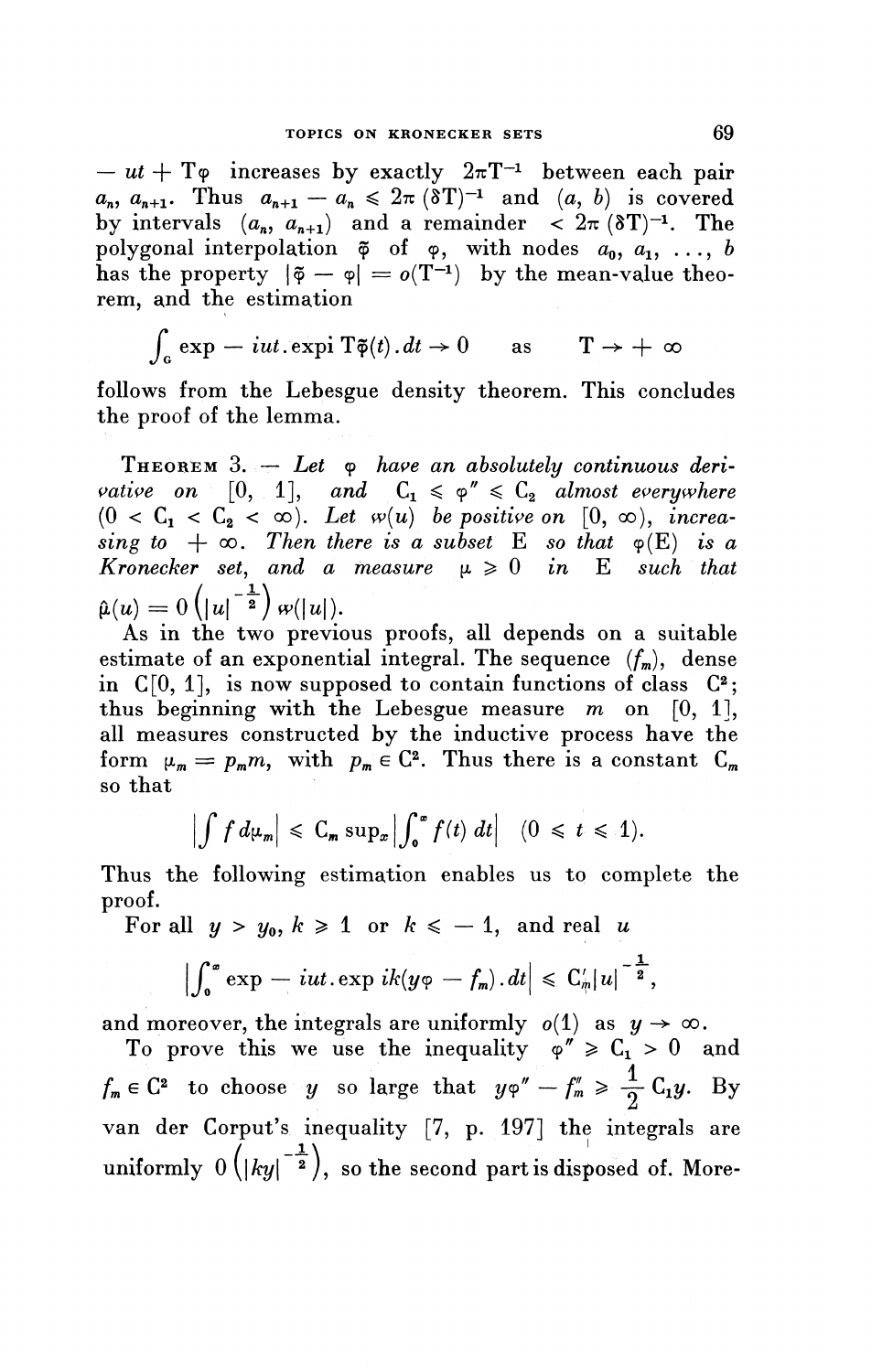$- ut + T\varphi$  increases by exactly  $2\pi T^{-1}$  between each pair  $a_n$ ,  $a_{n+1}$ . Thus  $a_{n+1} - a_n \leq 2\pi$  (8T)<sup>-1</sup> and (a, b) is covered by intervals  $(a_n, a_{n+1})$  and a remainder  $\langle 2\pi (8T)^{-1} \rangle$ . The polygonal interpolation  $\tilde{\varphi}$  of  $\varphi$ , with nodes  $a_0, a_1, \ldots, b$ has the property  $|\tilde{\phi} - \phi| = o(T^{-1})$  by the mean-value theorem, and the estimation

$$
\int_{\mathfrak{a}} \exp -iut.\exp i \; \mathbf{T}\tilde{\boldsymbol{\phi}}(t).dt \to 0 \quad \text{as} \quad \mathbf{T} \to +\infty
$$

follows from the Lebesgue density theorem. This concludes the proof of the lemma.

THEOREM 3. - Let  $\varphi$  have an absolutely continuous deri*x x x x x x x x x x x x x x x x x x x x x x x x x x x x x x x x x x x x x*  $(0 < C_1 < C_2 < \infty)$ . Let  $w(u)$  be positive on  $[0, \infty)$ , increasing to  $+ \infty$ . Then there is a subset E so that  $\varphi(E)$  is a *Kronecker set, and a measure*  $\mu \geq 0$  *in* E *such that*  $\hat{\mu}(u)=0\left(|u|^{-\frac{1}{2}}\right)\omega(|u|).$ 

As in the two previous proofs, all depends on a suitable estimate of an exponential integral. The sequence  $(f_m)$ , dense in  $C[0, 1]$ , is now supposed to contain functions of class  $C^2$ ; thus beginning with the Lebesgue measure *m* on [0, I], all measures constructed by the inductive process have the all measures constructed by the inductive process have the form  $\mu_m = p_m m$ , with  $p_m \in \mathbb{C}^2$ . Thus there is a constant  $\mathbb{C}_n$ so that

$$
\left|\int f d\mu_n\right| \leq C_m \sup_x \left|\int_0^x f(t) dt\right| \quad (0 \leq t \leq 1).
$$

Thus the following estimation enables us to complete the proof.

For all  $y > y_0$ ,  $k \ge 1$  or  $k \le -1$ , and real u

$$
\left|\int_0^x \exp\, -\, iut.\exp\, ik(y\varphi\,-f_m)\, .\, dt\right| \,\leqslant\, C'_m |u|^{-\frac{1}{2}},
$$

and moreover, the integrals are uniformly  $o(1)$  as  $y \to \infty$ .

To prove this we use the inequality  $\varphi'' \geq C_1 > 0$  and  $f_m \in \mathbb{C}^2$  to choose *y* so large that  $y\varphi'' - f''_m \ge \frac{1}{2}C_1y$ . By van der Corput's inequality [7, p. 197] the integrals are uniformly  $0\left(\left|ky\right|^{-\frac{1}{2}}\right)$ , so the second part is disposed of. More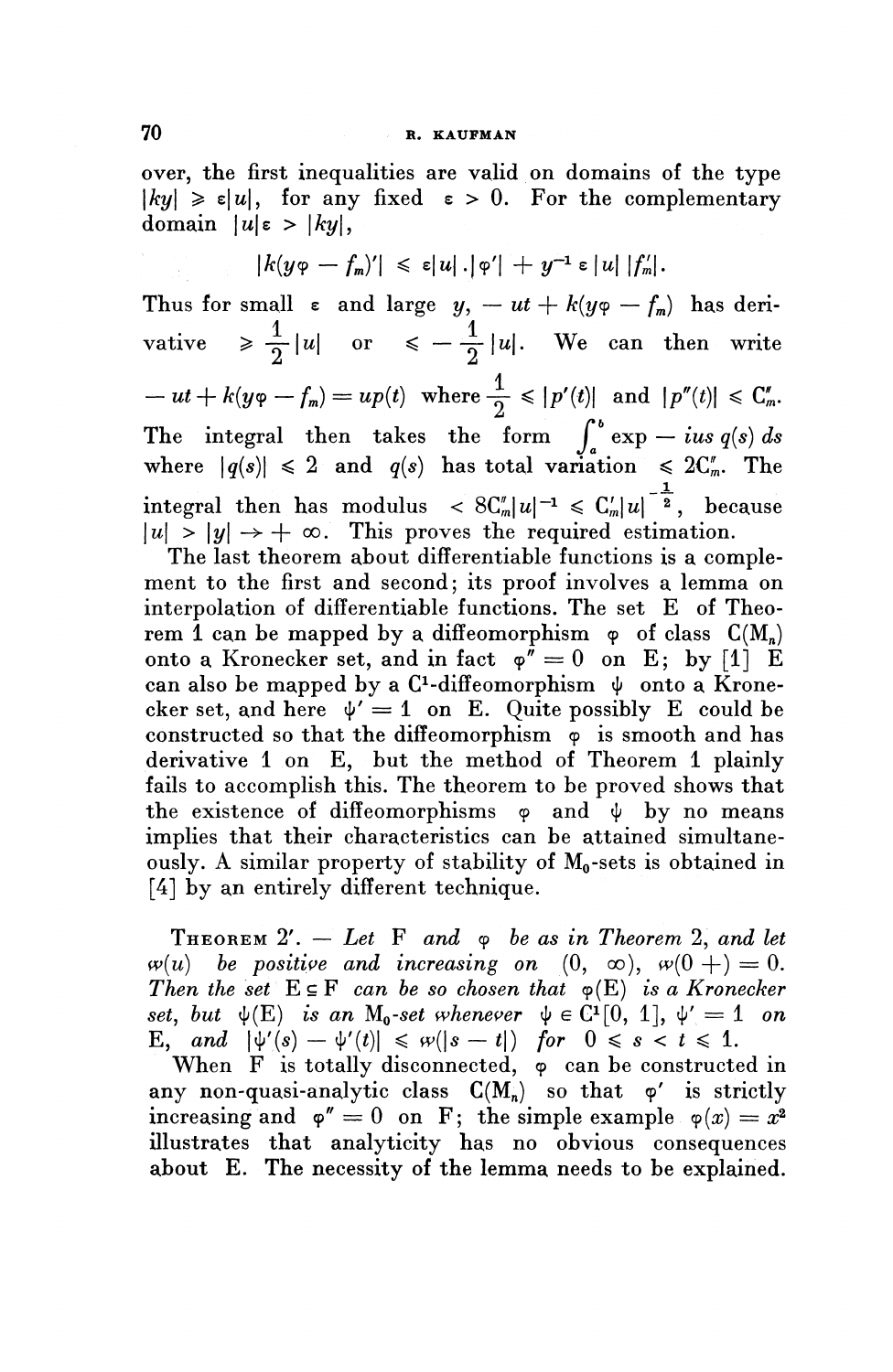over, the first inequalities are valid on domains of the type  $|ky| \geq \varepsilon|u|$ , for any fixed  $\varepsilon > 0$ . For the complementary domain  $|u| \varepsilon > |ky|$ ,

$$
|k(y\varphi - f_m)'| \leq \varepsilon |u| \cdot |\varphi'| + y^{-1} \varepsilon |u| |f'_m|.
$$

Thus for small  $\varepsilon$  and large  $y, -ut + k(y\varphi - f_m)$  has deri-Thus for small  $\varepsilon$  and large  $y, -u + \kappa(y\varphi - f_m)$  has derivative  $\geq \frac{1}{2}|u|$  or  $\leq -\frac{1}{2}|u|$ . We can then write  $- ut + k(y\varphi - f_m) = up(t) \ \text{ where } \frac{1}{2} \leqslant |p'(t)| \ \text{ and } |p''(t)| \leqslant C_m'.$ The integral then takes the form  $\int_a^b \exp{-ius\ q(s)} ds$  where  $|q(s)| \leq 2$  and  $q(s)$  has total variation  $\leq 2C'_m$ . The \_JL integral then has modulus < 8CIn|^[~<sup>1</sup> ^ C^|u| 2 , because  $|u| > |y| \to +\infty$ . This proves the required estimation.

The last theorem about differentiable functions is a complement to the first and second; its proof involves a lemma on interpolation of differentiable functions. The set E of Theorem 1 can be mapped by a diffeomorphism  $\varphi$  of class  $C(M_n)$ onto a Kronecker set, and in fact  $\varphi^{\tilde{r}}=0$  on E; by [1] E can also be mapped by a C<sup>1</sup>-diffeomorphism  $\psi$  onto a Kronecan also be mapped by a  $C$ -diffeomorphism  $\phi$  onto a Krone-<br>cker set, and here  $\phi' = 1$  on E. Quite possibly E could be constructed so that the diffeomorphism  $\phi$  is smooth and has derivative 1 on E, but the method of Theorem 1 plainly fails to accomplish this. The theorem to be proved shows that the existence of diffeomorphisms  $\varphi$  and  $\psi$  by no means implies that their characteristics can be attained simultaneously. A similar property of stability of  $M_0$ -sets is obtained in [4] by an entirely different technique.

THEOREM  $2'$ .  $-$  Let F and  $\varphi$  be as in Theorem 2, and let **THEOREM** 2'.  $-$  Let F and  $\varphi$  be as in Theorem 2, and le  $\varphi(u)$  be positive and increasing on  $(0, \infty), \; \varphi(0 +) = 0$ *Then the set*  $E \subseteq F$  *can be so chosen that*  $\varphi(E)$  *is a Kronecker set, but*  $\psi(E)$  *is an* M<sub>0</sub>-set whenever  $\psi \in C^1[0, 1], \psi' = 1$  on E, and  $|\psi'(s) - \psi'(t)| \leq \omega(|s - t|)$  for  $0 \leq s < t \leq 1$ .

When  $F$  is totally disconnected,  $\varphi$  can be constructed in any non-quasi-analytic class  $C(M_n)$  so that  $\varphi'$  is strictly increasing and  $\varphi'' = 0$  on F; the simple example  $\varphi(x) = x^2$ illustrates that analyticity has no obvious consequences about E. The necessity of the lemma needs to be explained.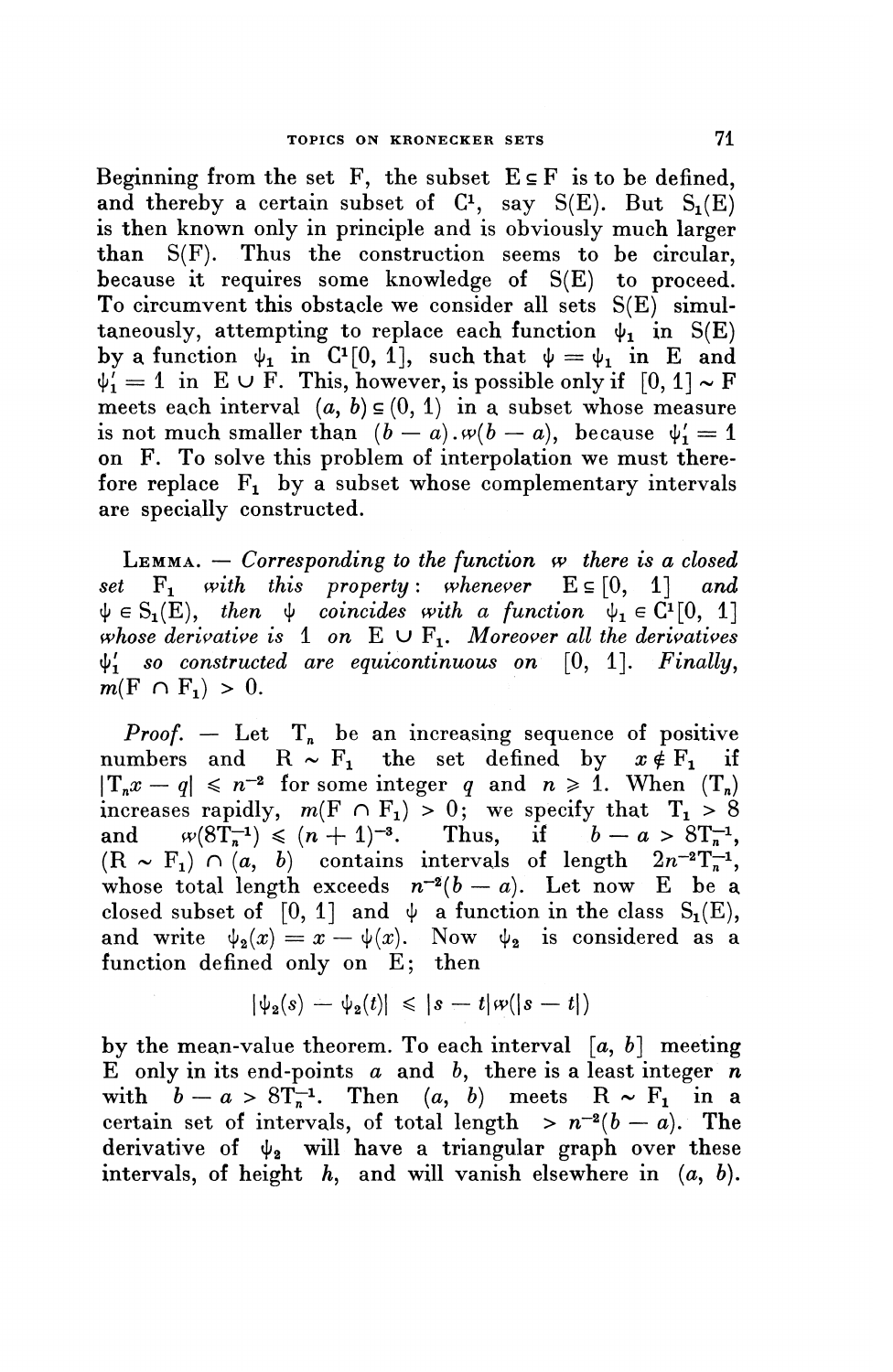Beginning from the set F, the subset  $E \subseteq F$  is to be defined. and thereby a certain subset of  $C<sup>1</sup>$ , say  $S(E)$ . But  $S<sub>1</sub>(E)$ is then known only in principle and is obviously much larger than S(F). Thus the construction seems to be circular, because it requires some knowledge of S(E) to proceed. To circumvent this obstacle we consider all sets S(E) simultaneously, attempting to replace each function  $\psi_1$  in S(E) by a function  $\psi_1$  in  $C^1[0, 1]$ , such that  $\psi = \psi_1$  in E and by a function  $\varphi_1$  in  $C$ <sup>[0, 1</sup>], such that  $\varphi = \varphi_1$  in E and  $\varphi_1' = 1$  in E  $\cup$  F. This, however, is possible only if  $[0, 1] \sim F$ meets each interval  $(a, b) \in (0, 1)$  in a subset whose measure is not much smaller than  $(b - a)$ ,  $w(b - a)$ , because  $\psi'_1 = 1$ on F. To solve this problem of interpolation we must therefore replace  $F_1$  by a subset whose complementary intervals are specially constructed.

LEMMA. — *Corresponding to the function w there is a closed set*  $F_1$  *with this property: whenever*  $E \subseteq [0, 1]$  *and*  $\psi \in S_1(E)$ , then  $\psi$  coincides with a function  $\psi_1 \in C^1[0, 1]$ *whose derivative is* 1 on  $E \cup F_1$ *. Moreover all the derivatives* ipi *so constructed are equicontinuous on* [0, I], *Finally,*  $m(F \cap F_1) > 0.$ 

*Proof.*  $-$  Let  $T_n$  be an increasing sequence of positive numbers and  $R \sim F_1$  the set defined by  $x \notin F_1$  if  $|T_n x - q| \leq n^{-2}$  for some integer q and  $n \geq 1$ . When  $(T_n)$ increases rapidly,  $m(F \cap F_1) > 0$ ; we specify that  $T_1 > 8$  $\left| \begin{array}{cc} \n\frac{1}{n}x - q \leq n^{-2} \text{ for some integer } q \text{ and } n \geq 1. \text{ When } (1_n) \text{ increases rapidly, } m(F \cap F_1) > 0; \text{ we specify that } T_1 > 8 \text{ and } \text{ with } (8T_n^{-1}) \leq (n+1)^{-3}. \text{ Thus, if } b - a > 8T_n^{-1}. \end{array} \right|$  $(R \sim F_1) \cap (a, b)$  contains intervals of length  $2n^{-2}T_{n}^{-1}$ whose total length exceeds  $n^{-2}(b - a)$ . Let now E be a closed subset of [0, 1] and  $\psi$  a function in the class S<sub>1</sub>(E), and write  $\psi_2(x) = x - \psi(x)$ . Now  $\psi_2$  is considered as a function defined only on E; then

$$
|\psi_2(s)-\psi_2(t)|\leqslant |s-t|\varpi(|s-t|)
$$

by the mean-value theorem. To each interval  $[a, b]$  meeting  $\tilde{E}$  only in its end-points  $a$  and  $b$ , there is a least integer  $n$ E only in its end-points a and b, there is a least integer r<br>with  $b - a > 8T<sub>n</sub><sup>-1</sup>$ . Then  $(a, b)$  meets  $R \sim F<sub>1</sub>$  in a certain set of intervals, of total length  $> n^{-2}(b-a)$ . The derivative of  $\psi_2$  will have a triangular graph over these intervals, of height h, and will vanish elsewhere in  $(a, b)$ .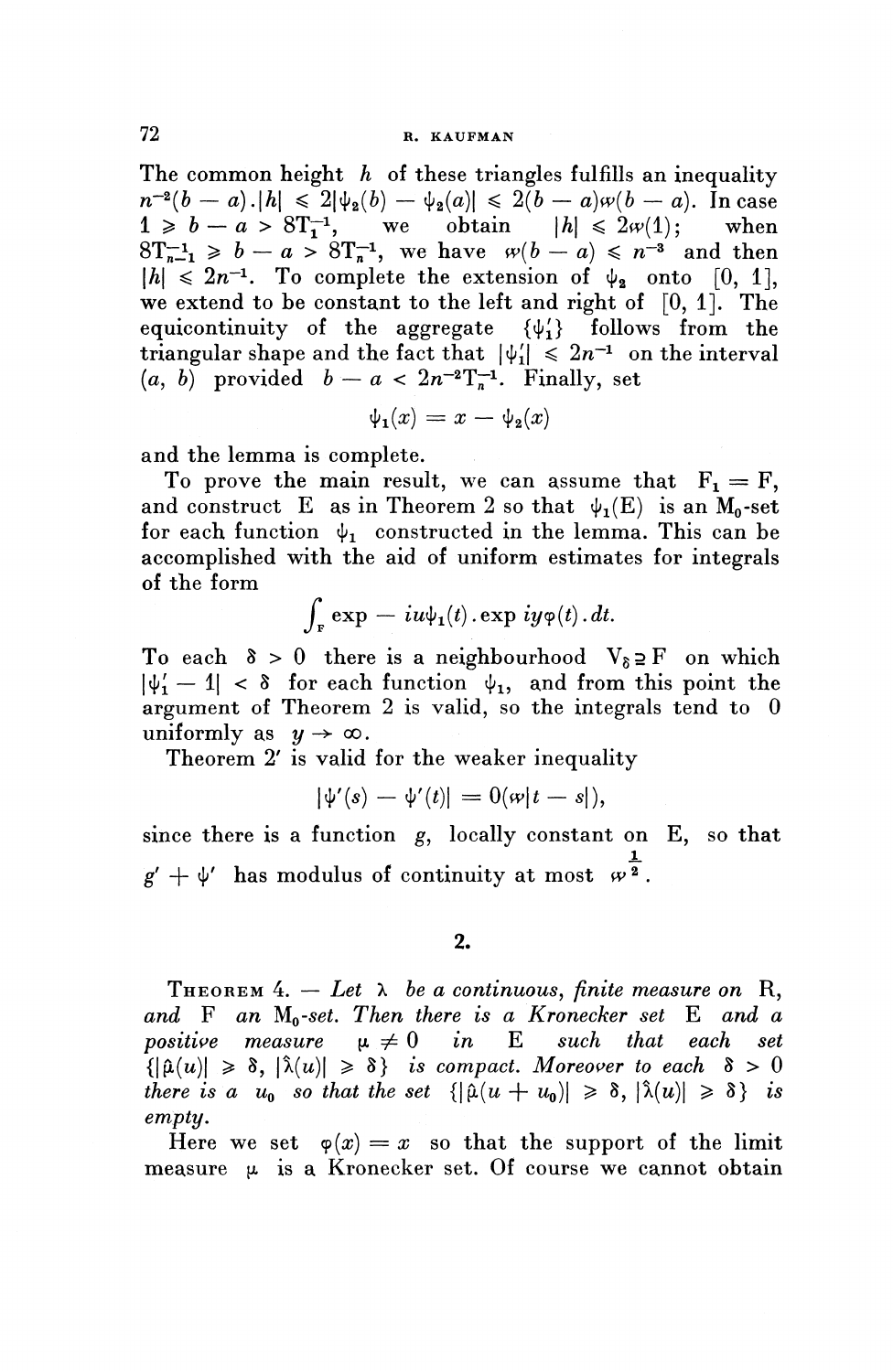The common height *h* of these triangles fulfills an inequality  $n^{-2}(b - a).|h| \leq 2|\psi_2(b) - \psi_2(a)| \leq 2(b - a)\omega(b - a).$  In case  $1 \ge b - a > 8T_1^{-1}$ , we obtain  $|h| \le 2w(1)$ ; when  $8T^{-1}_{n-1} \ge b - a > 8T^{-1}_n$ , we have  $\omega(b - a) \le n^{-3}$  and then  $|h| \leq 2n^{-1}$ . To complete the extension of  $\psi_2$  onto [0, 1], we extend to be constant to the left and right of  $[0, 1]$ . The equicontinuity of the aggregate  $\{\psi'_1\}$  follows from the equicontinuity of the aggregate  $\{\psi_1\}$  follows from the triangular shape and the fact that  $|\psi_1'| \leq 2n^{-1}$  on the interval  $(a, b)$  provided  $b - a < 2n^{-2}T_n^{-1}$ . Finally, set<br>  $\psi_1(x) = x - \psi_2(x)$ 

$$
\psi_1(x) = x - \psi_2(x)
$$

and the lemma is complete.

To prove the main result, we can assume that  $F_1 = F$ , and construct E as in Theorem 2 so that  $\psi_1(E)$  is an M<sub>o</sub>-set for each function  $\psi_1$  constructed in the lemma. This can be accomplished with the aid of uniform estimates for integrals of the form

$$
\int_{\mathbf{F}} \exp\,-\,i u \psi_1(t) \,.\exp\,i y \varphi(t) \,.\,dt.
$$

To each  $\delta > 0$  there is a neighbourhood  $V_{\delta} \supseteq F$  on which  $|\psi'_1 - 1| < \delta$  for each function  $\psi_1$ , and from this point the argument of Theorem 2 is valid, so the integrals tend to 0 uniformly as  $y \to \infty$ .

Theorem 2' is valid for the weaker inequality

$$
|\psi'(s) - \psi'(t)| = 0(\omega|t-s|),
$$

since there is a function g, locally constant on E, so that  $g' + \psi'$  has modulus of continuity at most  $\omega^{\frac{1}{2}}$ .

THEOREM  $4. - Let \lambda$  be a continuous, finite measure on R, *and* F *an Mo-set. Then there is a Kronecker set* E *and a positive measure*  $\mu \neq 0$  *in* E such that each set  ${|\hat{\mu}(u)| \geq \delta, |\hat{\lambda}(u)| \geq \delta}$  is compact. Moreover to each  $\delta > 0$ *there is a u<sub>0</sub> so that the set*  $\{|\hat{\mu}(u + u_0)| \geq \delta, |\hat{\lambda}(u)| \geq \delta\}$  *is empty.*

Here we set  $\varphi(x) = x$  so that the support of the limit measure  $\mu$  is a Kronecker set. Of course we cannot obtain

**<sup>2.</sup>**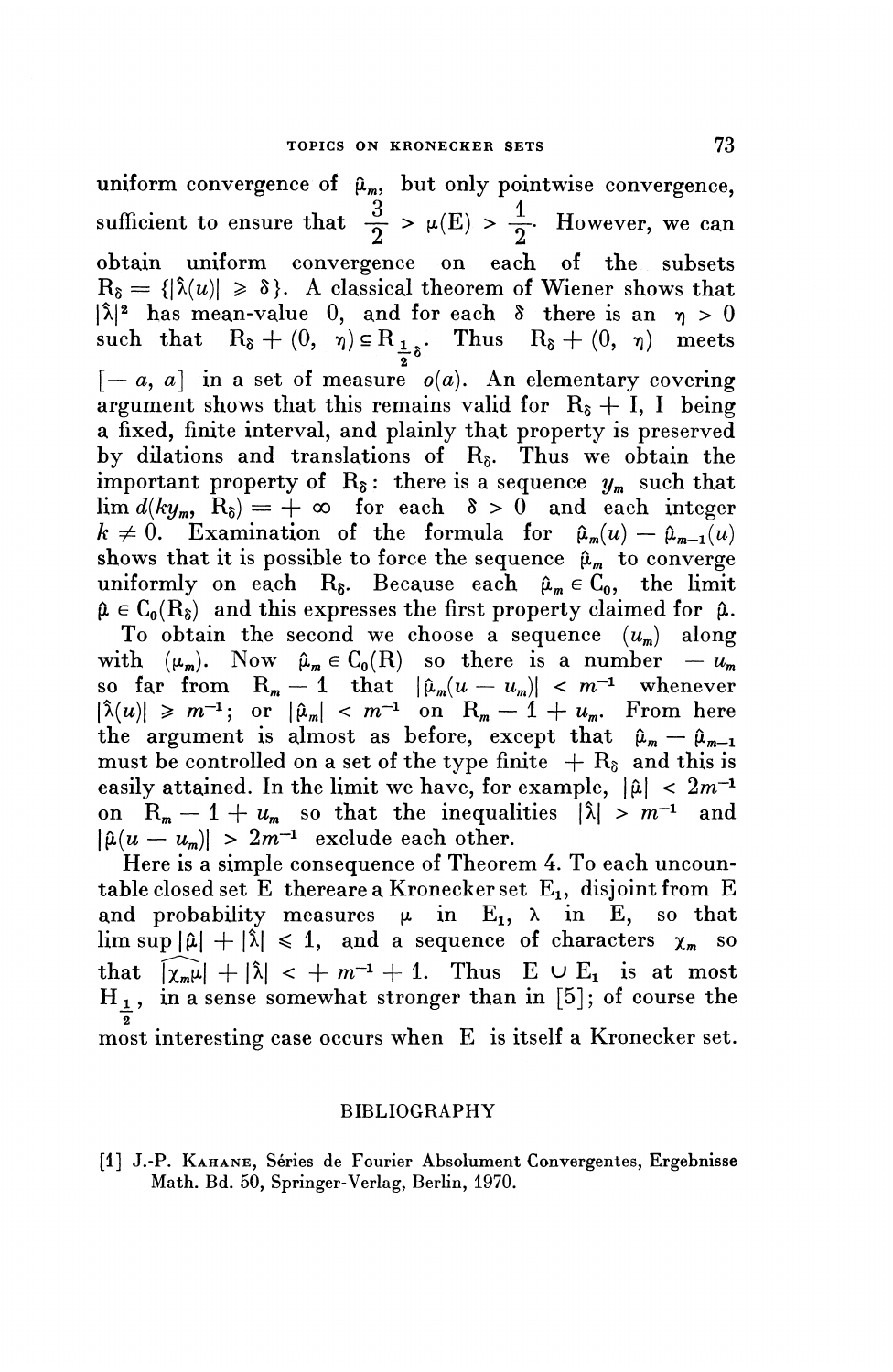uniform convergence of  $\hat{\mu}_m$ , but only pointwise convergence, sufficient to ensure that  $\frac{3}{2} > \mu(E) > \frac{1}{2}$ . However, we can obtain uniform convergence on each of the subsets  $R_{\delta} = \{|\hat{\lambda}(u)| \geq \delta\}$ . A classical theorem of Wiener shows that  $|\hat{\lambda}|^2$  has mean-value 0, and for each 8 there is an  $\eta > 0$ such that  $R_{\delta} + (0, \eta) \in R_{\frac{1}{2}\delta}$ . Thus  $R_{\delta} + (0, \eta)$  meets  $[-a, a]$  in a set of measure  $o(a)$ . An elementary covering argument shows that this remains valid for  $R_8 + I$ , I being a fixed, finite interval, and plainly that property is preserved by dilations and translations of  $R_{\delta}$ . Thus we obtain the important property of  $R_{\delta}$ : there is a sequence  $y_m$  such that  $\lim d(ky_m, R_\delta) = +\infty$  for each  $\delta > 0$  and each integer  $k \neq 0$ . Examination of the formula for  $\hat{\mu}_m(u) - \hat{\mu}_{m-1}(u)$ shows that it is possible to force the sequence  $\hat{\mu}_m$  to converge uniformly on each R<sub>§</sub>. Because each  $\hat{\mu}_m \in C_0$ , the limit  $\hat{\mu} \in C_0(R_{\delta})$  and this expresses the first property claimed for  $\hat{\mu}$ . To obtain the second we choose a sequence  $(u_m)$  along with  $(\mu_m)$ . Now  $\hat{\mu}_m \in C_0(R)$  so there is a number —  $u_m^{\dagger}$ so far from  $R_m - 1$  that  $|\hat{\mu}_m(u - u_m)| < m^{-1}$  whenever  $|\hat{\lambda}(u)| \geq m^{-1}$ ; or  $|\hat{\mu}_m| < m^{-1}$  on  $R_m - 1 + u_m$ . From here the argument is almost as before, except that  $\hat{\mu}_m - \hat{\mu}_{m-1}$ must be controlled on a set of the type finite  $+ R_{\delta}$  and this is easily attained. In the limit we have, for example,  $|\hat{\mu}| < 2m^{-1}$ on  $R_m - 1 + u_m$  so that the inequalities  $|\lambda| > m^{-1}$  and  $|\hat{\mu}(u - u_m)| > 2m^{-1}$  exclude each other.

Here is a simple consequence of Theorem 4. To each uncountable closed set E thereare a Kronecker set  $E_1$ , disjoint from E and probability measures  $\mu$  in E<sub>1</sub>,  $\lambda$  in E<sub>1</sub>, so that  $\limsup |\hat{\mu}| + |\hat{\lambda}| \leq 1$ , and a sequence of characters  $\chi_m$  so that  $\frac{1}{|\chi_m\mu|} + |\hat{\lambda}| < +m^{-1} + 1$ . Thus  $E \cup E_1$  is at most  $H_1$ , in a sense somewhat stronger than in [5]; of course the *~2* most interesting case occurs when E is itself a Kronecker set.

#### BIBLIOGRAPHY

[1] J.-P. KAHANE, Series de Fourier Absolument Convergentes, Ergebnisse Math. Bd. 50, Springer-Verlag, Berlin, 1970.